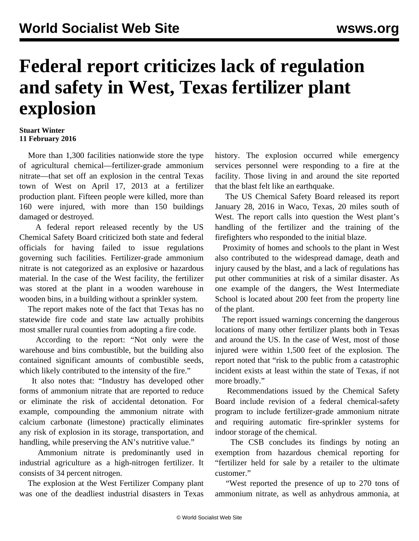## **Federal report criticizes lack of regulation and safety in West, Texas fertilizer plant explosion**

## **Stuart Winter 11 February 2016**

 More than 1,300 facilities nationwide store the type of agricultural chemical—fertilizer-grade ammonium nitrate—that set off an explosion in the central Texas town of West on April 17, 2013 at a fertilizer production plant. Fifteen people were killed, more than 160 were injured, with more than 150 buildings damaged or destroyed.

 A federal report released recently by the US Chemical Safety Board criticized both state and federal officials for having failed to issue regulations governing such facilities. Fertilizer-grade ammonium nitrate is not categorized as an explosive or hazardous material. In the case of the West facility, the fertilizer was stored at the plant in a wooden warehouse in wooden bins, in a building without a sprinkler system.

 The report makes note of the fact that Texas has no statewide fire code and state law actually prohibits most smaller rural counties from adopting a fire code.

 According to the report: "Not only were the warehouse and bins combustible, but the building also contained significant amounts of combustible seeds, which likely contributed to the intensity of the fire."

 It also notes that: "Industry has developed other forms of ammonium nitrate that are reported to reduce or eliminate the risk of accidental detonation. For example, compounding the ammonium nitrate with calcium carbonate (limestone) practically eliminates any risk of explosion in its storage, transportation, and handling, while preserving the AN's nutritive value."

 Ammonium nitrate is predominantly used in industrial agriculture as a high-nitrogen fertilizer. It consists of 34 percent nitrogen.

 The explosion at the West Fertilizer Company plant was one of the deadliest industrial disasters in Texas

history. The explosion occurred while emergency services personnel were responding to a fire at the facility. Those living in and around the site reported that the blast felt like an earthquake.

 The US Chemical Safety Board released its report January 28, 2016 in Waco, Texas, 20 miles south of West. The report calls into question the West plant's handling of the fertilizer and the training of the firefighters who responded to the initial blaze.

 Proximity of homes and schools to the plant in West also contributed to the widespread damage, death and injury caused by the blast, and a lack of regulations has put other communities at risk of a similar disaster. As one example of the dangers, the West Intermediate School is located about 200 feet from the property line of the plant.

 The report issued warnings concerning the dangerous locations of many other fertilizer plants both in Texas and around the US. In the case of West, most of those injured were within 1,500 feet of the explosion. The report noted that "risk to the public from a catastrophic incident exists at least within the state of Texas, if not more broadly."

 Recommendations issued by the Chemical Safety Board include revision of a federal chemical-safety program to include fertilizer-grade ammonium nitrate and requiring automatic fire-sprinkler systems for indoor storage of the chemical.

 The CSB concludes its findings by noting an exemption from hazardous chemical reporting for "fertilizer held for sale by a retailer to the ultimate customer."

 "West reported the presence of up to 270 tons of ammonium nitrate, as well as anhydrous ammonia, at